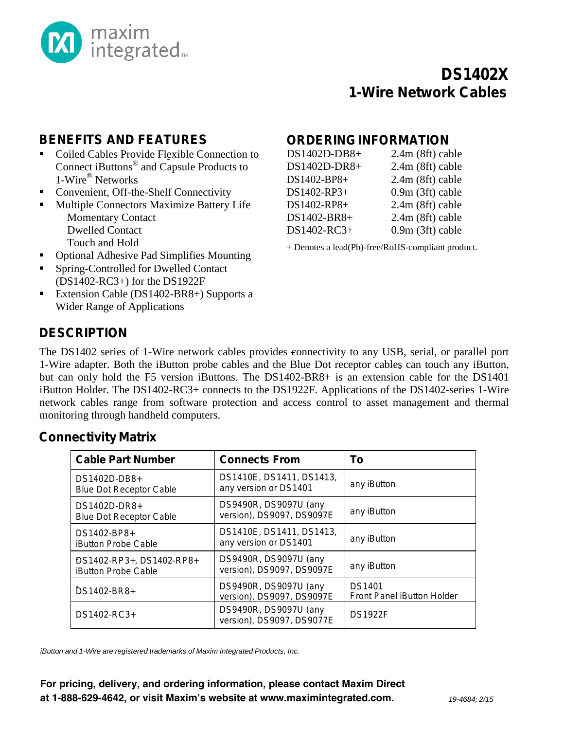

# **DS1402X 1-Wire Network Cables**

## **BENEFITS AND FEATURES**

- Coiled Cables Provide Flexible Connection to Connect iButtons® and Capsule Products to 1-Wire® Networks
- Convenient, Off-the-Shelf Connectivity
- **Multiple Connectors Maximize Battery Life** Momentary Contact Dwelled Contact Touch and Hold
- Optional Adhesive Pad Simplifies Mounting
- Spring-Controlled for Dwelled Contact (DS1402-RC3+) for the DS1922F
- Extension Cable (DS1402-BR8+) Supports a Wider Range of Applications

### **ORDERINGINFORMATION**

| $2.4m$ (8ft) cable |
|--------------------|
| 2.4m (8ft) cable   |
| $2.4m$ (8ft) cable |
| 0.9m (3ft) cable   |
| $2.4m$ (8ft) cable |
| $2.4m$ (8ft) cable |
| $0.9m(3ft)$ cable  |
|                    |

+ Denotes a lead(Pb)-free/RoHS-compliant product.

## **DESCRIPTION**

The DS1402 series of 1-Wire network cables provides connectivity to any USB, serial, or parallel port 1-Wire adapter. Both the iButton probe cables and the Blue Dot receptor cables can touch any iButton, but can only hold the F5 version iButtons. The DS1402-BR8+ is an extension cable for the DS1401 iButton Holder. The DS1402-RC3+ connects to the DS1922F. Applications of the DS1402-series 1-Wire network cables range from software protection and access control to asset management and thermal monitoring through handheld computers.

#### **Connectivity Matrix**

| <b>Cable Part Number</b>                               | <b>Connects From</b>                               | To                                          |  |
|--------------------------------------------------------|----------------------------------------------------|---------------------------------------------|--|
| DS1402D-DB8+<br><b>Blue Dot Receptor Cable</b>         | DS1410E, DS1411, DS1413,<br>any version or DS1401  | any iButton                                 |  |
| DS1402D-DR8+<br><b>Blue Dot Receptor Cable</b>         | DS9490R, DS9097U (any<br>version), DS9097, DS9097E | any iButton                                 |  |
| DS1402-BP8+<br><b>iButton Probe Cable</b>              | DS1410E, DS1411, DS1413,<br>any version or DS1401  | any iButton                                 |  |
| DS1402-RP3+, DS1402-RP8+<br><b>iButton Probe Cable</b> | DS9490R, DS9097U (any<br>version), DS9097, DS9097E | any iButton                                 |  |
| DS1402-BR8+                                            | DS9490R, DS9097U (any<br>version), DS9097, DS9097E | <b>DS1401</b><br>Front Panel iButton Holder |  |
| DS1402-RC3+                                            | DS9490R, DS9097U (any<br>version), DS9097, DS9077E | <b>DS1922F</b>                              |  |

*iButton and 1-Wire are registered trademarks of Maxim Integrated Products, Inc.*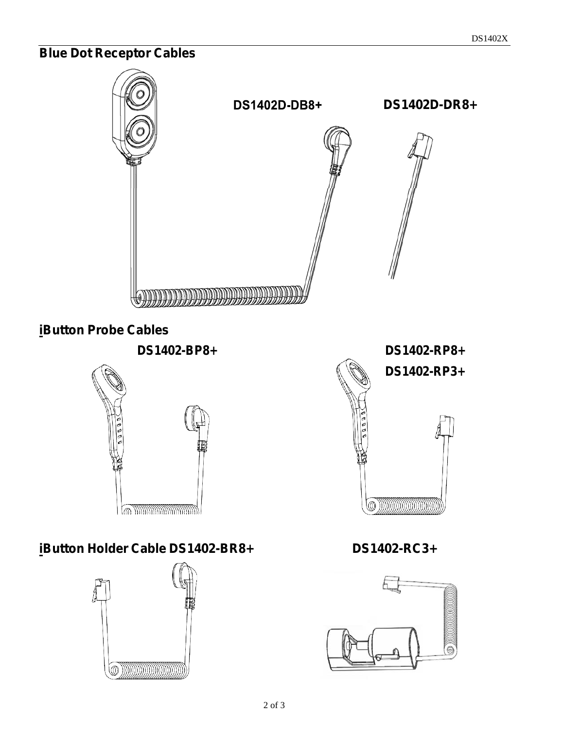# **Blue Dot Receptor Cables**



# **iButton Probe Cables**





# **iButton Holder Cable DS1402-BR8+ DS1402-RC3+**